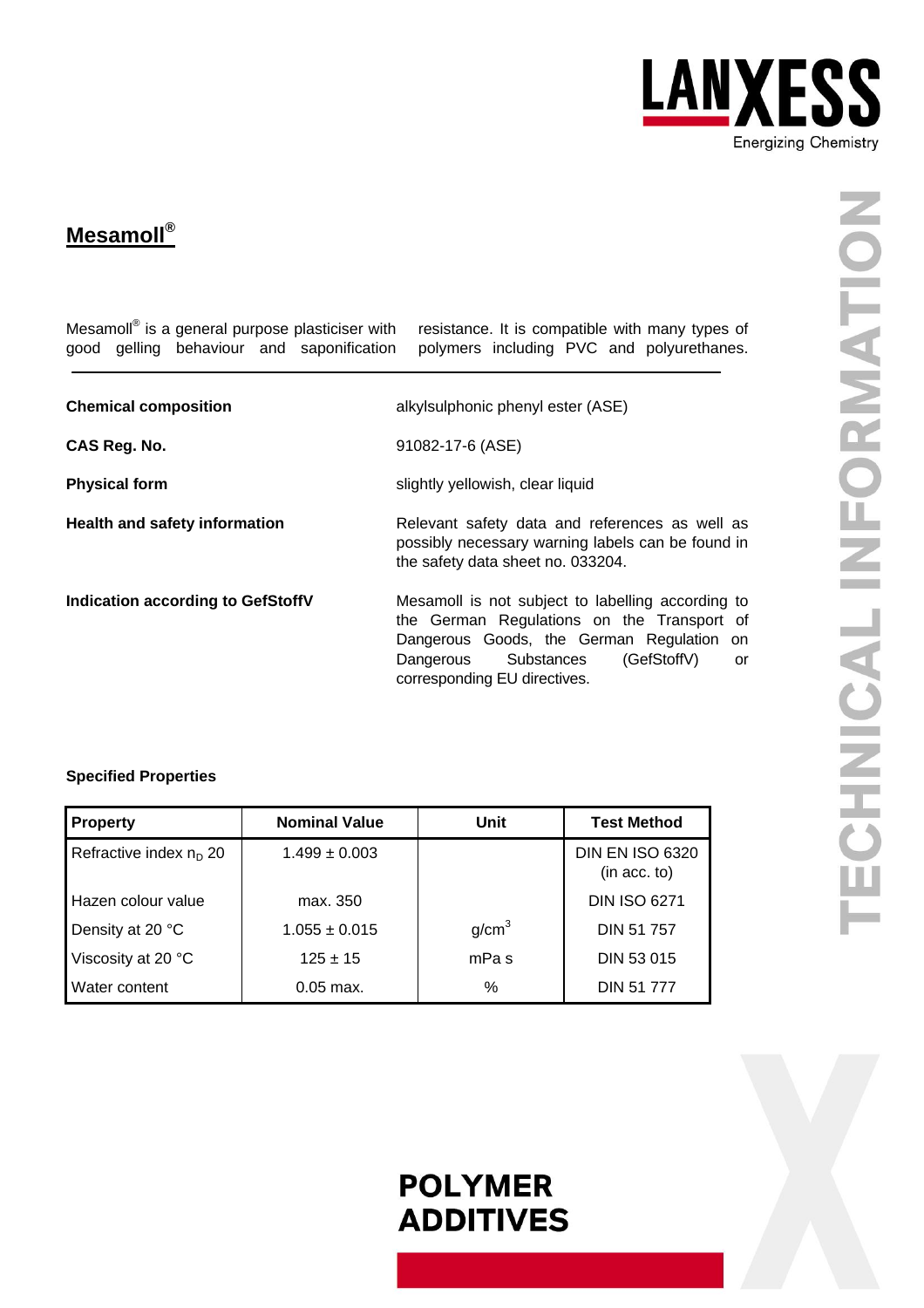

### **Mesamoll®**

| Mesamoll <sup>®</sup> is a general purpose plasticiser with<br>good gelling behaviour and saponification | resistance. It is compatible with many types of<br>polymers including PVC and polyurethanes.                                                                                                                                 |  |  |
|----------------------------------------------------------------------------------------------------------|------------------------------------------------------------------------------------------------------------------------------------------------------------------------------------------------------------------------------|--|--|
| <b>Chemical composition</b>                                                                              | alkylsulphonic phenyl ester (ASE)                                                                                                                                                                                            |  |  |
| CAS Reg. No.                                                                                             | 91082-17-6 (ASE)                                                                                                                                                                                                             |  |  |
| <b>Physical form</b>                                                                                     | slightly yellowish, clear liquid                                                                                                                                                                                             |  |  |
| <b>Health and safety information</b>                                                                     | Relevant safety data and references as well as<br>possibly necessary warning labels can be found in<br>the safety data sheet no. 033204.                                                                                     |  |  |
| <b>Indication according to GefStoffV</b>                                                                 | Mesamoll is not subject to labelling according to<br>the German Regulations on the Transport of<br>Dangerous Goods, the German Regulation on<br>(GefStoffV)<br>Substances<br>Dangerous<br>or<br>corresponding EU directives. |  |  |

### **Specified Properties**

| Property                           | <b>Nominal Value</b> | Unit              | <b>Test Method</b>                     |
|------------------------------------|----------------------|-------------------|----------------------------------------|
| Refractive index n <sub>D</sub> 20 | $1.499 \pm 0.003$    |                   | <b>DIN EN ISO 6320</b><br>(in acc. to) |
| Hazen colour value                 | max. 350             |                   | <b>DIN ISO 6271</b>                    |
| Density at 20 °C                   | $1.055 \pm 0.015$    | g/cm <sup>3</sup> | DIN 51 757                             |
| Viscosity at 20 °C                 | $125 \pm 15$         | mPa s             | DIN 53 015                             |
| <b>Water content</b>               | $0.05$ max.          | %                 | <b>DIN 51 777</b>                      |

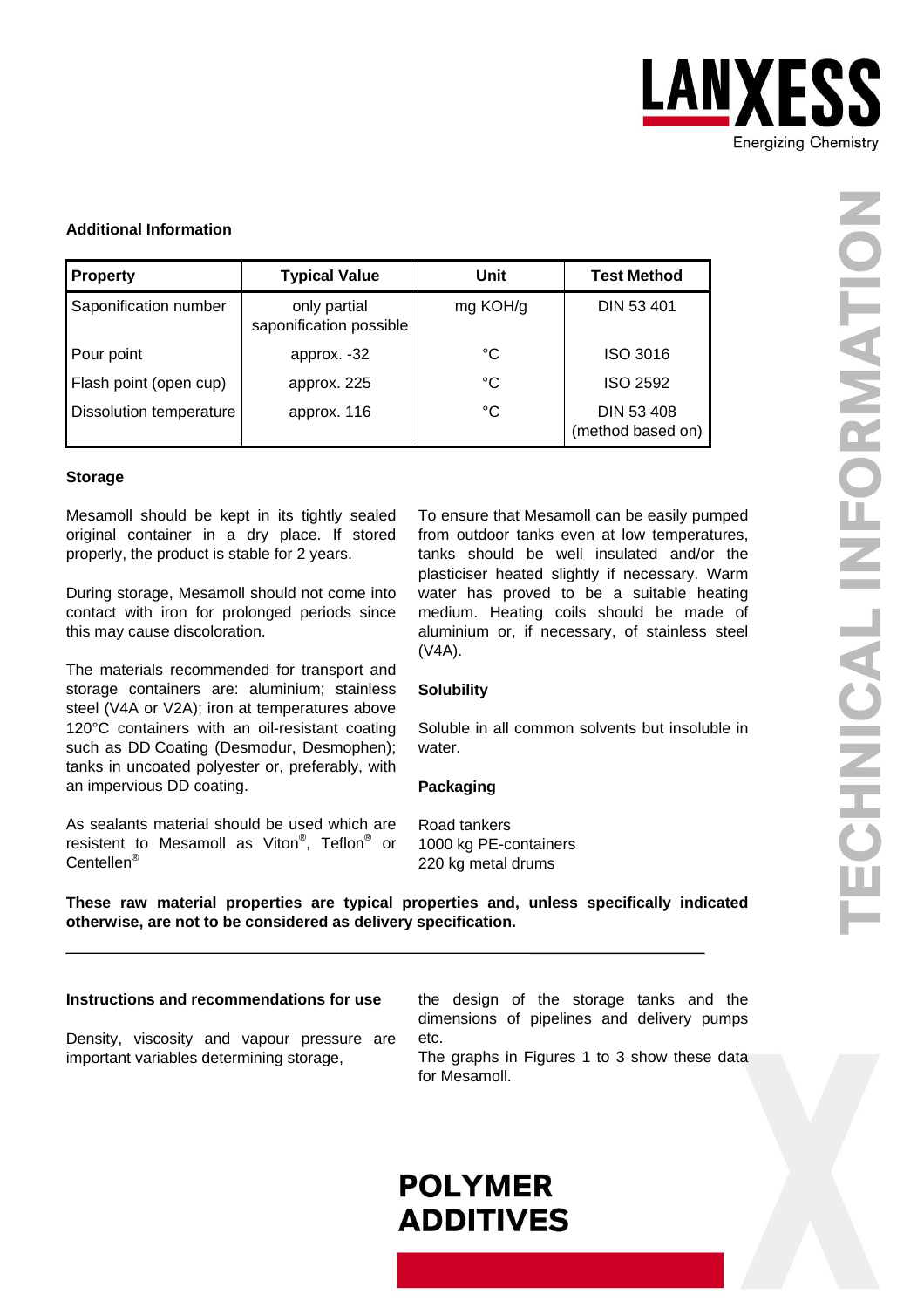

#### **Additional Information**

| <b>Property</b>                | <b>Typical Value</b>                    | Unit     | <b>Test Method</b>                     |
|--------------------------------|-----------------------------------------|----------|----------------------------------------|
| Saponification number          | only partial<br>saponification possible | mg KOH/g | <b>DIN 53 401</b>                      |
| Pour point                     | approx. -32                             | °C       | ISO 3016                               |
| Flash point (open cup)         | approx. 225                             | °C       | <b>ISO 2592</b>                        |
| <b>Dissolution temperature</b> | approx. 116                             | °C       | <b>DIN 53 408</b><br>(method based on) |

#### **Storage**

Mesamoll should be kept in its tightly sealed original container in a dry place. If stored properly, the product is stable for 2 years.

During storage, Mesamoll should not come into contact with iron for prolonged periods since this may cause discoloration.

The materials recommended for transport and storage containers are: aluminium; stainless steel (V4A or V2A); iron at temperatures above 120°C containers with an oil-resistant coating such as DD Coating (Desmodur, Desmophen); tanks in uncoated polyester or, preferably, with an impervious DD coating.

As sealants material should be used which are resistent to Mesamoll as Viton<sup>®</sup>, Teflon<sup>®</sup> or Centellen®

To ensure that Mesamoll can be easily pumped from outdoor tanks even at low temperatures, tanks should be well insulated and/or the plasticiser heated slightly if necessary. Warm water has proved to be a suitable heating medium. Heating coils should be made of aluminium or, if necessary, of stainless steel (V4A).

#### **Solubility**

Soluble in all common solvents but insoluble in water.

#### **Packaging**

Road tankers 1000 kg PE-containers 220 kg metal drums

**These raw material properties are typical properties and, unless specifically indicated otherwise, are not to be considered as delivery specification.** 

#### **Instructions and recommendations for use**

Density, viscosity and vapour pressure are important variables determining storage,

the design of the storage tanks and the dimensions of pipelines and delivery pumps etc.

The graphs in Figures 1 to 3 show these data for Mesamoll.

## **POLYMER ADDITIVES**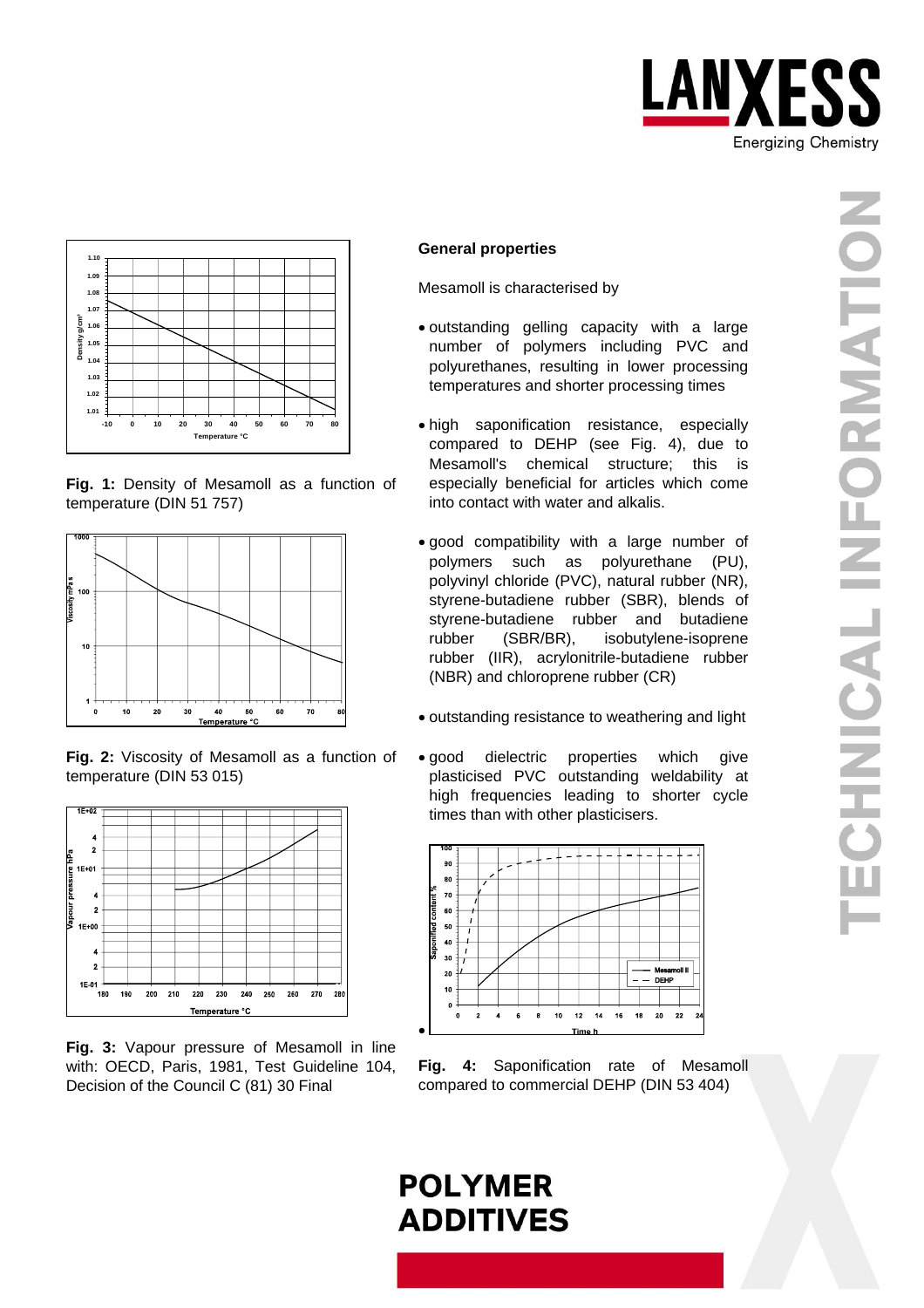







**Fig. 2:** Viscosity of Mesamoll as a function of temperature (DIN 53 015)



**Fig. 3:** Vapour pressure of Mesamoll in line with: OECD, Paris, 1981, Test Guideline 104, Decision of the Council C (81) 30 Final

#### **General properties**

Mesamoll is characterised by

- outstanding gelling capacity with a large number of polymers including PVC and polyurethanes, resulting in lower processing temperatures and shorter processing times
- high saponification resistance, especially compared to DEHP (see Fig. 4), due to Mesamoll's chemical structure; this is especially beneficial for articles which come into contact with water and alkalis.
- good compatibility with a large number of polymers such as polyurethane (PU), polyvinyl chloride (PVC), natural rubber (NR), styrene-butadiene rubber (SBR), blends of styrene-butadiene rubber and butadiene rubber (SBR/BR), isobutylene-isoprene rubber (IIR), acrylonitrile-butadiene rubber (NBR) and chloroprene rubber (CR)
- outstanding resistance to weathering and light
- good dielectric properties which give plasticised PVC outstanding weldability at high frequencies leading to shorter cycle times than with other plasticisers.



**Fig. 4:** Saponification rate of Mesamoll compared to commercial DEHP (DIN 53 404)

# **POLYMER ADDITIVES**